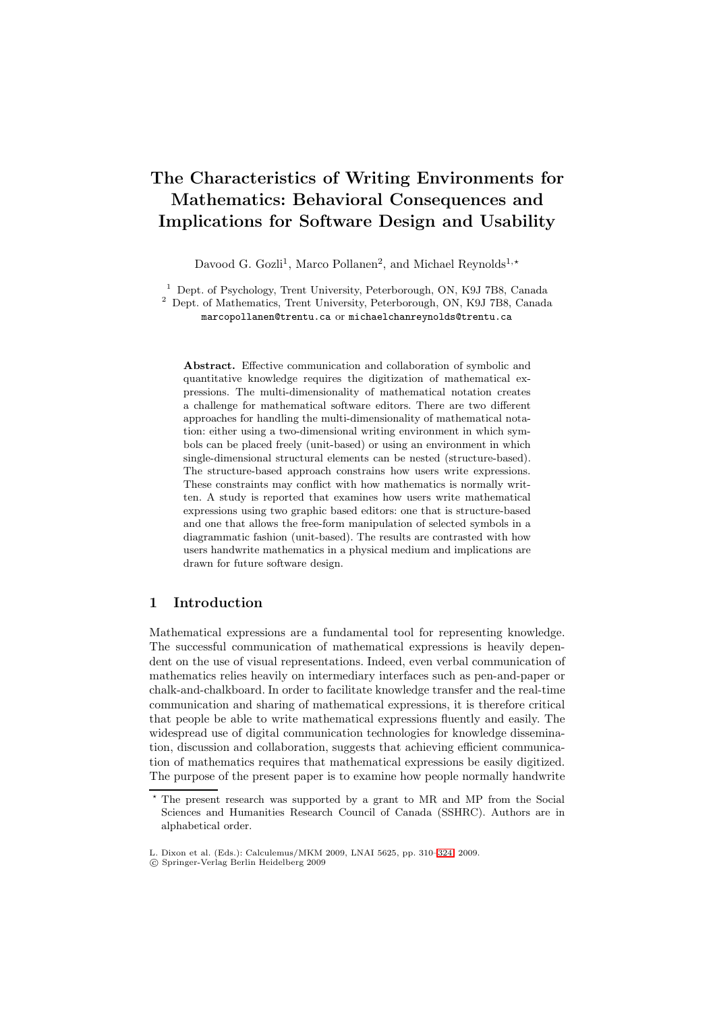# **The Characteristics of Writing Environments for Mathematics: Behavioral Consequences and Implications for Software Design and Usability**

Davood G. Gozli<sup>1</sup>, Marco Pollanen<sup>2</sup>, and Michael Reynolds<sup>1,\*</sup>

<sup>1</sup> Dept. of Psychology, Trent University, Peterborough, ON, K9J 7B8, Canada

<sup>2</sup> Dept. of Mathematics, Trent University, Peterborough, ON, K9J 7B8, Canada marcopollanen@trentu.ca or michaelchanreynolds@trentu.ca

**Abstract.** Effective communication and collaboration of symbolic and quantitative knowledge requires the digitization of mathematical expressions. The multi-dimensionality of mathematical notation creates a challenge for mathematical software editors. There are two different approaches for handling the multi-dimensionality of mathematical notation: either using a two-dimensional writing environment in which symbols can be placed freely (unit-based) or using an environment in which single-dimensional structural elements can be nested (structure-based). The structure-based approach constrains how users write expressions. These constraints may conflict with how mathematics is normally written. A study is reported that examines how users write mathematical expressions using two graphic based editors: one that is structure-based and one that allows the free-form manipulation of selected symbols in a diagrammatic fashion (unit-based). The results are contrasted with how users handwrite mathematics in a physical medium and implications are drawn for future software design.

# **1 Introduction**

Mathematical expressions are a fundamental tool for representing knowledge. The successful communication of mathematical expressions is heavily dependent on the use of visual representations. Indeed, even verbal communication of mathematics relies heavily on intermediary interfaces such as pen-and-paper or chalk-and-chalkboard. In order to facilitate knowledge transfer and the real-time communication and sharing of mathematical expressions, it is therefore critical that people be able to write mathematical expressions fluently and easily. The widespread use of digital communication technologies for knowledge dissemination, discussion and collaboration, suggests that achieving efficient communication of mathematics requires that mathematical expressions be easily digitized. The purpose of the present paper is to examine how people normally handwrite

 $\star$  The present research was supported by a grant to MR and MP from the Social Sciences and Humanities Research Council of Canada (SSHRC). Authors are in alphabetical order.

L. Dixon et al. (Eds.): Calculemus/MKM 2009, LNAI 5625, pp. 310[–324,](#page-13-0) 2009.

<sup>-</sup>c Springer-Verlag Berlin Heidelberg 2009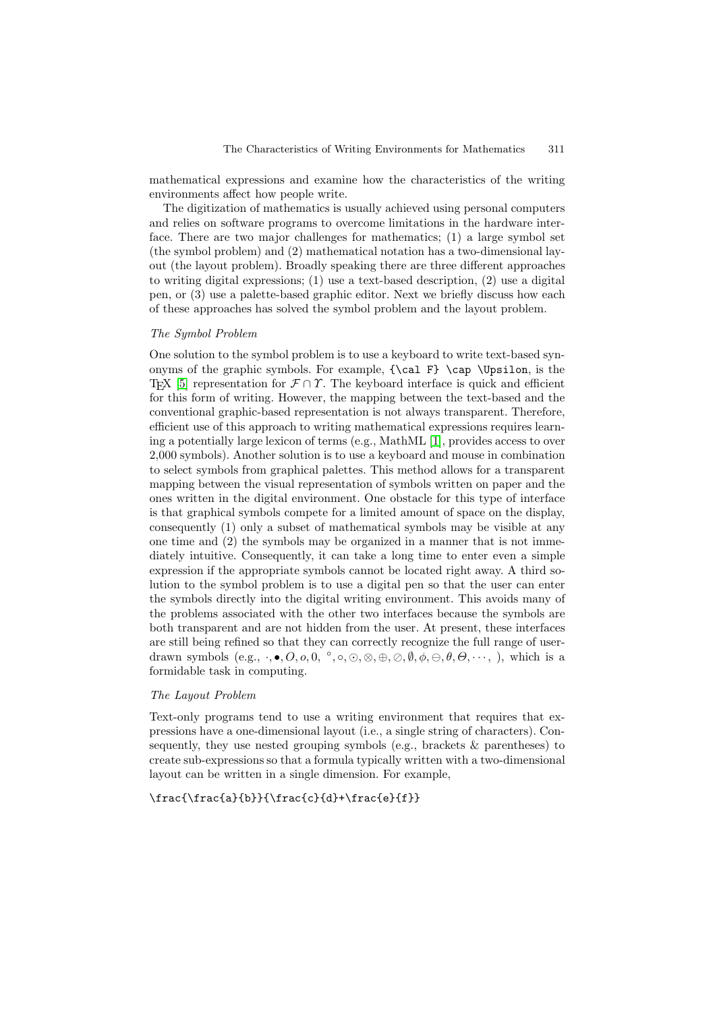mathematical expressions and examine how the characteristics of the writing environments affect how people write.

The digitization of mathematics is usually achieved using personal computers and relies on software programs to overcome limitations in the hardware interface. There are two major challenges for mathematics; (1) a large symbol set (the symbol problem) and (2) mathematical notation has a two-dimensional layout (the layout problem). Broadly speaking there are three different approaches to writing digital expressions; (1) use a text-based description, (2) use a digital pen, or (3) use a palette-based graphic editor. Next we briefly discuss how each of these approaches has solved the symbol problem and the layout problem.

## *The Symbol Problem*

One solution to the symbol problem is to use a keyboard to write text-based synonyms of the graphic symbols. For example, {\cal F} \cap \Upsilon, is the TEX [\[5\]](#page-14-0) representation for  $\mathcal{F} \cap \Upsilon$ . The keyboard interface is quick and efficient for this form of writing. However, the mapping between the text-based and the conventional graphic-based representation is not always transparent. Therefore, efficient use of this approach to writing mathematical expressions requires learning a potentially large lexicon of terms (e.g., MathML [\[1\]](#page-13-1), provides access to over 2,000 symbols). Another solution is to use a keyboard and mouse in combination to select symbols from graphical palettes. This method allows for a transparent mapping between the visual representation of symbols written on paper and the ones written in the digital environment. One obstacle for this type of interface is that graphical symbols compete for a limited amount of space on the display, consequently (1) only a subset of mathematical symbols may be visible at any one time and (2) the symbols may be organized in a manner that is not immediately intuitive. Consequently, it can take a long time to enter even a simple expression if the appropriate symbols cannot be located right away. A third solution to the symbol problem is to use a digital pen so that the user can enter the symbols directly into the digital writing environment. This avoids many of the problems associated with the other two interfaces because the symbols are both transparent and are not hidden from the user. At present, these interfaces are still being refined so that they can correctly recognize the full range of userdrawn symbols (e.g.,  $\cdot$ ,  $\bullet$ ,  $O$ ,  $o$ ,  $0$ ,  $\circ$ ,  $\circ$ ,  $\odot$ ,  $\otimes$ ,  $\oplus$ ,  $\oslash$ ,  $\emptyset$ ,  $\phi$ ,  $\ominus$ ,  $\theta$ ,  $\ominus$ ,  $\cdot\cdot\cdot$ , ), which is a formidable task in computing.

#### *The Layout Problem*

Text-only programs tend to use a writing environment that requires that expressions have a one-dimensional layout (i.e., a single string of characters). Consequently, they use nested grouping symbols (e.g., brackets  $\&$  parentheses) to create sub-expressions so that a formula typically written with a two-dimensional layout can be written in a single dimension. For example,

# $\frac{\frac{a}{b}}{\frac{c}{d}+\frac{e}{f}}$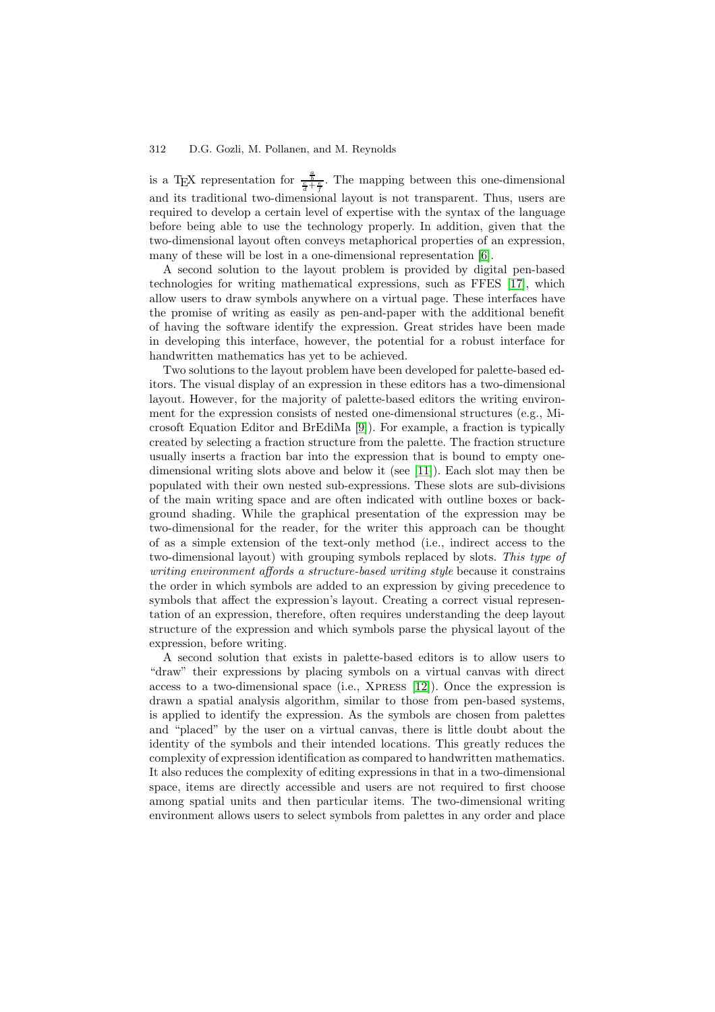is a T<sub>E</sub>X representation for  $\frac{\frac{a}{b}}{\frac{a}{d}+\frac{a}{f}}$ . The mapping between this one-dimensional and its traditional two-dimensional layout is not transparent. Thus, users are required to develop a certain level of expertise with the syntax of the language before being able to use the technology properly. In addition, given that the two-dimensional layout often conveys metaphorical properties of an expression, many of these will be lost in a one-dimensional representation [\[6\]](#page-14-1).

A second solution to the layout problem is provided by digital pen-based technologies for writing mathematical expressions, such as FFES [\[17\]](#page-14-2), which allow users to draw symbols anywhere on a virtual page. These interfaces have the promise of writing as easily as pen-and-paper with the additional benefit of having the software identify the expression. Great strides have been made in developing this interface, however, the potential for a robust interface for handwritten mathematics has yet to be achieved.

Two solutions to the layout problem have been developed for palette-based editors. The visual display of an expression in these editors has a two-dimensional layout. However, for the majority of palette-based editors the writing environment for the expression consists of nested one-dimensional structures (e.g., Microsoft Equation Editor and BrEdiMa [\[9\]](#page-14-3)). For example, a fraction is typically created by selecting a fraction structure from the palette. The fraction structure usually inserts a fraction bar into the expression that is bound to empty onedimensional writing slots above and below it (see [\[11\]](#page-14-4)). Each slot may then be populated with their own nested sub-expressions. These slots are sub-divisions of the main writing space and are often indicated with outline boxes or background shading. While the graphical presentation of the expression may be two-dimensional for the reader, for the writer this approach can be thought of as a simple extension of the text-only method (i.e., indirect access to the two-dimensional layout) with grouping symbols replaced by slots. *This type of writing environment affords a structure-based writing style* because it constrains the order in which symbols are added to an expression by giving precedence to symbols that affect the expression's layout. Creating a correct visual representation of an expression, therefore, often requires understanding the deep layout structure of the expression and which symbols parse the physical layout of the expression, before writing.

A second solution that exists in palette-based editors is to allow users to "draw" their expressions by placing symbols on a virtual canvas with direct access to a two-dimensional space (i.e., Xpress [\[12\]](#page-14-5)). Once the expression is drawn a spatial analysis algorithm, similar to those from pen-based systems, is applied to identify the expression. As the symbols are chosen from palettes and "placed" by the user on a virtual canvas, there is little doubt about the identity of the symbols and their intended locations. This greatly reduces the complexity of expression identification as compared to handwritten mathematics. It also reduces the complexity of editing expressions in that in a two-dimensional space, items are directly accessible and users are not required to first choose among spatial units and then particular items. The two-dimensional writing environment allows users to select symbols from palettes in any order and place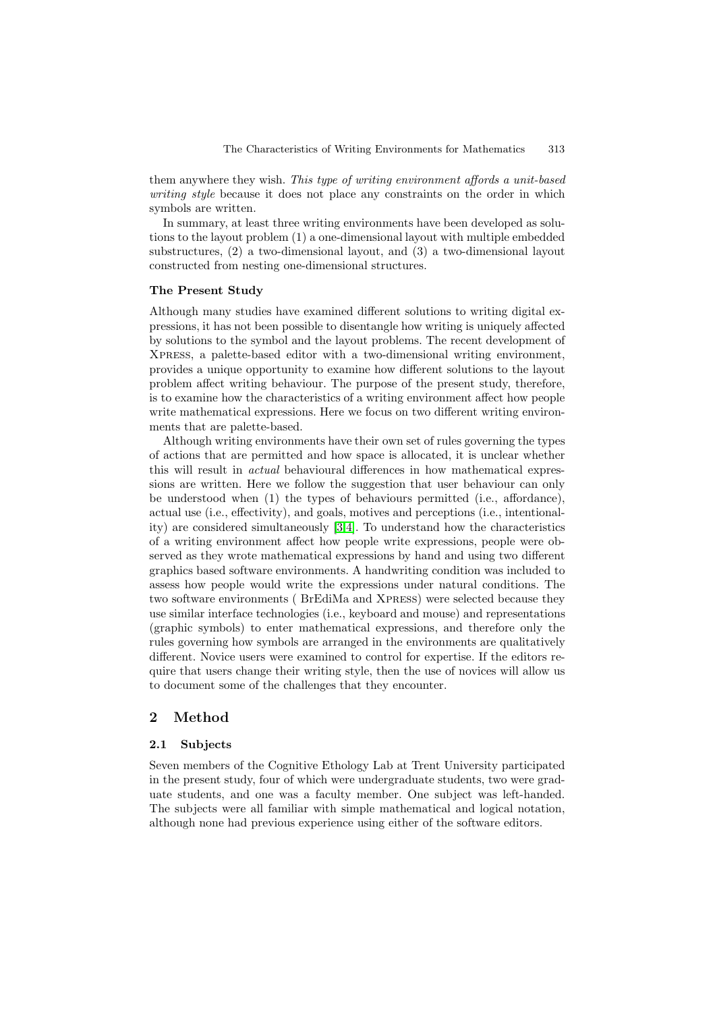them anywhere they wish. *This type of writing environment affords a unit-based writing style* because it does not place any constraints on the order in which symbols are written.

In summary, at least three writing environments have been developed as solutions to the layout problem (1) a one-dimensional layout with multiple embedded substructures, (2) a two-dimensional layout, and (3) a two-dimensional layout constructed from nesting one-dimensional structures.

### **The Present Study**

Although many studies have examined different solutions to writing digital expressions, it has not been possible to disentangle how writing is uniquely affected by solutions to the symbol and the layout problems. The recent development of Xpress, a palette-based editor with a two-dimensional writing environment, provides a unique opportunity to examine how different solutions to the layout problem affect writing behaviour. The purpose of the present study, therefore, is to examine how the characteristics of a writing environment affect how people write mathematical expressions. Here we focus on two different writing environments that are palette-based.

Although writing environments have their own set of rules governing the types of actions that are permitted and how space is allocated, it is unclear whether this will result in *actual* behavioural differences in how mathematical expressions are written. Here we follow the suggestion that user behaviour can only be understood when (1) the types of behaviours permitted (i.e., affordance), actual use (i.e., effectivity), and goals, motives and perceptions (i.e., intentionality) are considered simultaneously [\[3](#page-13-2)[,4\]](#page-14-6). To understand how the characteristics of a writing environment affect how people write expressions, people were observed as they wrote mathematical expressions by hand and using two different graphics based software environments. A handwriting condition was included to assess how people would write the expressions under natural conditions. The two software environments ( BrEdiMa and Xpress) were selected because they use similar interface technologies (i.e., keyboard and mouse) and representations (graphic symbols) to enter mathematical expressions, and therefore only the rules governing how symbols are arranged in the environments are qualitatively different. Novice users were examined to control for expertise. If the editors require that users change their writing style, then the use of novices will allow us to document some of the challenges that they encounter.

# **2 Method**

## **2.1 Subjects**

Seven members of the Cognitive Ethology Lab at Trent University participated in the present study, four of which were undergraduate students, two were graduate students, and one was a faculty member. One subject was left-handed. The subjects were all familiar with simple mathematical and logical notation, although none had previous experience using either of the software editors.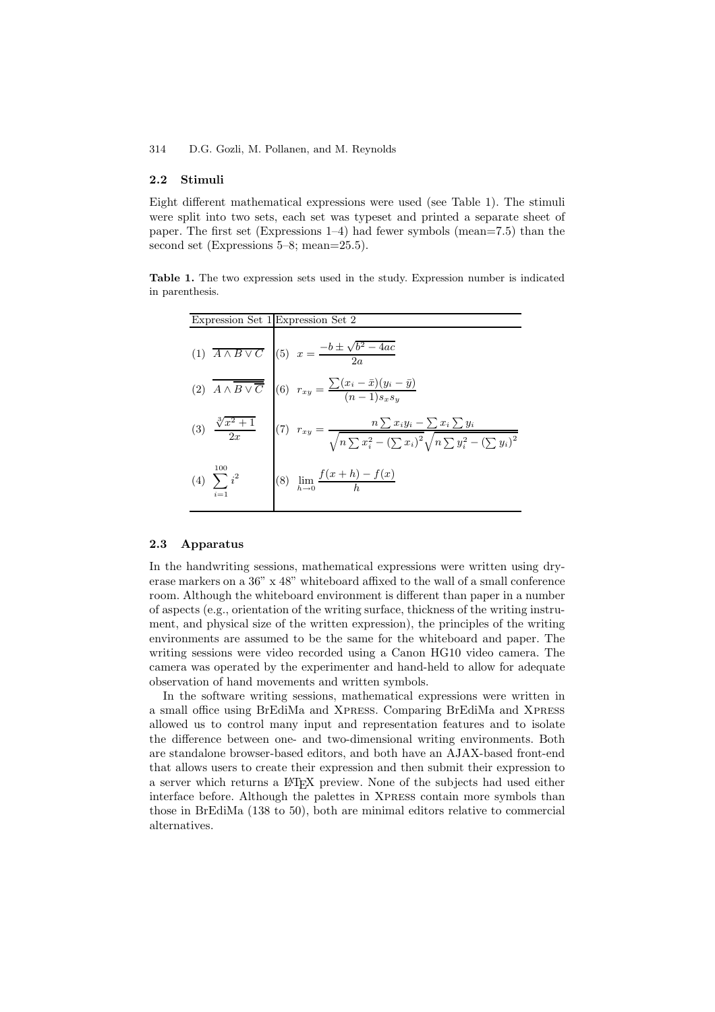## **2.2 Stimuli**

Eight different mathematical expressions were used (see Table 1). The stimuli were split into two sets, each set was typeset and printed a separate sheet of paper. The first set (Expressions  $1-4$ ) had fewer symbols (mean=7.5) than the second set (Expressions 5–8; mean=25.5).

**Table 1.** The two expression sets used in the study. Expression number is indicated in parenthesis.

|                                   | Expression Set 1 Expression Set 2                                                                                                                                |  |  |
|-----------------------------------|------------------------------------------------------------------------------------------------------------------------------------------------------------------|--|--|
|                                   | (1) $\overline{A \wedge B \vee C}$ (5) $x = \frac{-b \pm \sqrt{b^2 - 4ac}}{2a}$                                                                                  |  |  |
|                                   | (2) $\overline{A \wedge B \vee C}$ (6) $r_{xy} = \frac{\sum (x_i - \bar{x})(y_i - \bar{y})}{(n-1)s_xs_y}$                                                        |  |  |
|                                   | (3) $\frac{\sqrt[3]{x^2+1}}{2x}$ (7) $r_{xy} = \frac{n \sum x_i y_i - \sum x_i \sum y_i}{\sqrt{n \sum x_i^2 - (\sum x_i)^2} \sqrt{n \sum y_i^2 - (\sum y_i)^2}}$ |  |  |
| 100<br>(4) $\sum_{i=1}^{100} i^2$ | (8) $\lim_{h \to 0} \frac{f(x+h) - f(x)}{h}$                                                                                                                     |  |  |

## **2.3 Apparatus**

In the handwriting sessions, mathematical expressions were written using dryerase markers on a 36" x 48" whiteboard affixed to the wall of a small conference room. Although the whiteboard environment is different than paper in a number of aspects (e.g., orientation of the writing surface, thickness of the writing instrument, and physical size of the written expression), the principles of the writing environments are assumed to be the same for the whiteboard and paper. The writing sessions were video recorded using a Canon HG10 video camera. The camera was operated by the experimenter and hand-held to allow for adequate observation of hand movements and written symbols.

In the software writing sessions, mathematical expressions were written in a small office using BrEdiMa and Xpress. Comparing BrEdiMa and Xpress allowed us to control many input and representation features and to isolate the difference between one- and two-dimensional writing environments. Both are standalone browser-based editors, and both have an AJAX-based front-end that allows users to create their expression and then submit their expression to a server which returns a LATEX preview. None of the subjects had used either interface before. Although the palettes in Xpress contain more symbols than those in BrEdiMa (138 to 50), both are minimal editors relative to commercial alternatives.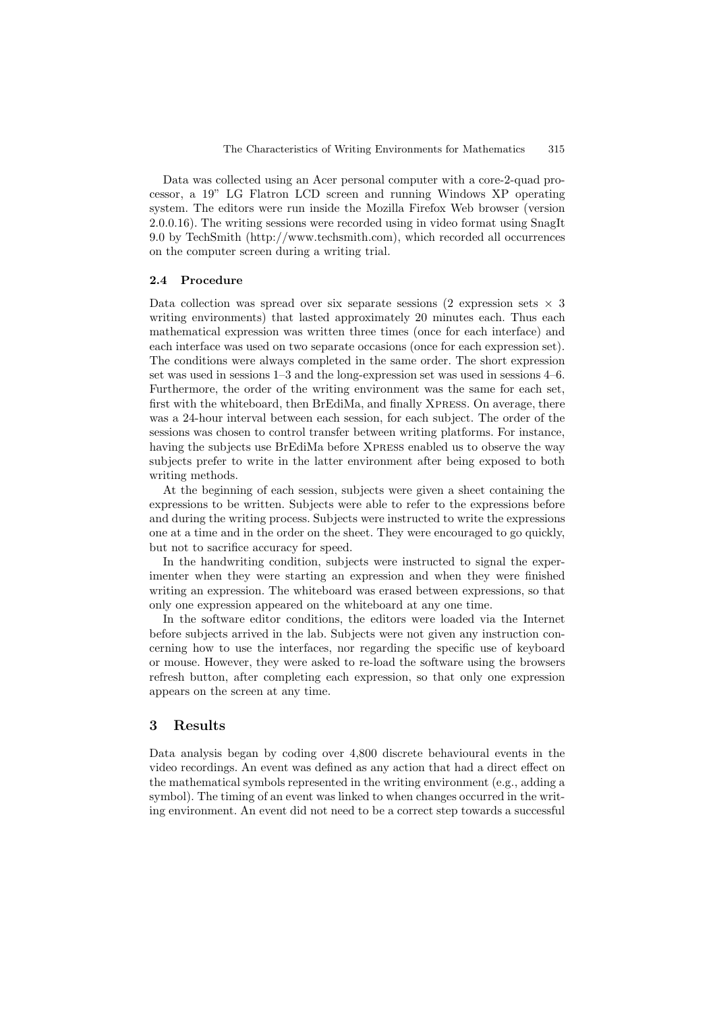Data was collected using an Acer personal computer with a core-2-quad processor, a 19" LG Flatron LCD screen and running Windows XP operating system. The editors were run inside the Mozilla Firefox Web browser (version 2.0.0.16). The writing sessions were recorded using in video format using SnagIt 9.0 by TechSmith (http://www.techsmith.com), which recorded all occurrences on the computer screen during a writing trial.

#### **2.4 Procedure**

Data collection was spread over six separate sessions (2 expression sets  $\times$  3 writing environments) that lasted approximately 20 minutes each. Thus each mathematical expression was written three times (once for each interface) and each interface was used on two separate occasions (once for each expression set). The conditions were always completed in the same order. The short expression set was used in sessions 1–3 and the long-expression set was used in sessions 4–6. Furthermore, the order of the writing environment was the same for each set, first with the whiteboard, then BrEdiMa, and finally Xpress. On average, there was a 24-hour interval between each session, for each subject. The order of the sessions was chosen to control transfer between writing platforms. For instance, having the subjects use BrEdiMa before Xpress enabled us to observe the way subjects prefer to write in the latter environment after being exposed to both writing methods.

At the beginning of each session, subjects were given a sheet containing the expressions to be written. Subjects were able to refer to the expressions before and during the writing process. Subjects were instructed to write the expressions one at a time and in the order on the sheet. They were encouraged to go quickly, but not to sacrifice accuracy for speed.

In the handwriting condition, subjects were instructed to signal the experimenter when they were starting an expression and when they were finished writing an expression. The whiteboard was erased between expressions, so that only one expression appeared on the whiteboard at any one time.

In the software editor conditions, the editors were loaded via the Internet before subjects arrived in the lab. Subjects were not given any instruction concerning how to use the interfaces, nor regarding the specific use of keyboard or mouse. However, they were asked to re-load the software using the browsers refresh button, after completing each expression, so that only one expression appears on the screen at any time.

# **3 Results**

Data analysis began by coding over 4,800 discrete behavioural events in the video recordings. An event was defined as any action that had a direct effect on the mathematical symbols represented in the writing environment (e.g., adding a symbol). The timing of an event was linked to when changes occurred in the writing environment. An event did not need to be a correct step towards a successful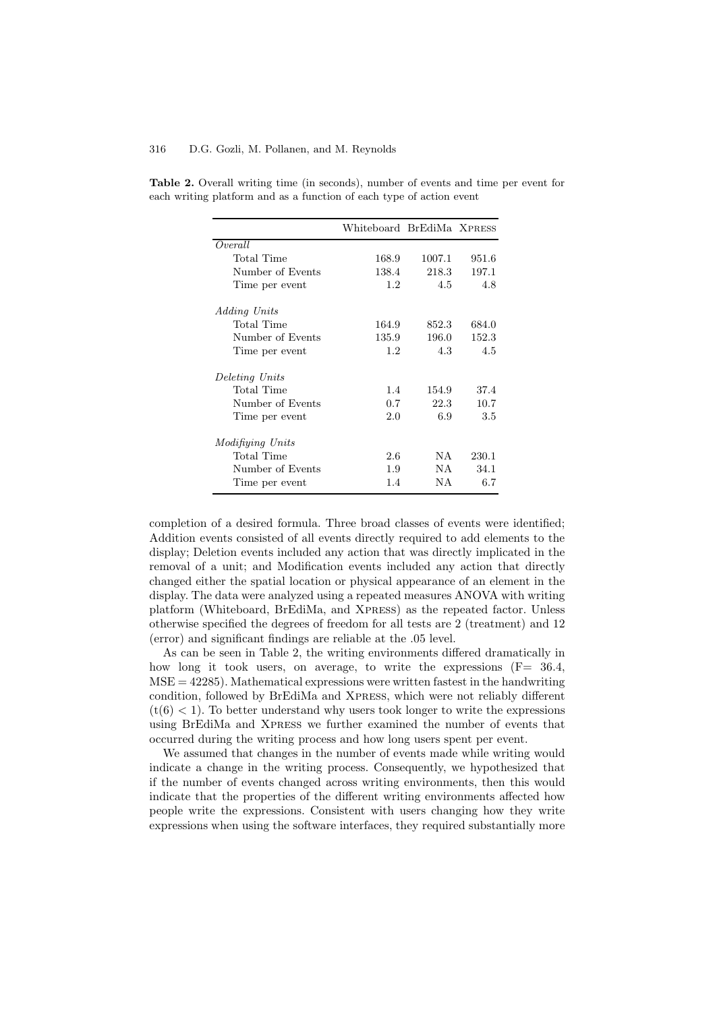|                     | Whiteboard BrEdiMa XPRESS |        |       |
|---------------------|---------------------------|--------|-------|
| Overall             |                           |        |       |
| Total Time          | 168.9                     | 1007.1 | 951.6 |
| Number of Events    | 138.4                     | 218.3  | 197.1 |
| Time per event      | 1.2                       | 4.5    | 4.8   |
| <i>Adding Units</i> |                           |        |       |
| Total Time          | 164.9                     | 852.3  | 684.0 |
| Number of Events    | 135.9                     | 196.0  | 152.3 |
| Time per event      | $1.2\,$                   | 4.3    | 4.5   |
| Deleting Units      |                           |        |       |
| Total Time          | 1.4                       | 154.9  | 37.4  |
| Number of Events    | 0.7                       | 22.3   | 10.7  |
| Time per event      | 2.0                       | 6.9    | 3.5   |
| Modifiying Units    |                           |        |       |
| Total Time          | 2.6                       | ΝA     | 230.1 |
| Number of Events    | 1.9                       | N A    | 34.1  |
| Time per event      | 1.4                       | ΝA     | 6.7   |

**Table 2.** Overall writing time (in seconds), number of events and time per event for each writing platform and as a function of each type of action event

completion of a desired formula. Three broad classes of events were identified; Addition events consisted of all events directly required to add elements to the display; Deletion events included any action that was directly implicated in the removal of a unit; and Modification events included any action that directly changed either the spatial location or physical appearance of an element in the display. The data were analyzed using a repeated measures ANOVA with writing platform (Whiteboard, BrEdiMa, and Xpress) as the repeated factor. Unless otherwise specified the degrees of freedom for all tests are 2 (treatment) and 12 (error) and significant findings are reliable at the .05 level.

As can be seen in Table 2, the writing environments differed dramatically in how long it took users, on average, to write the expressions (F= 36.4,  $MSE = 42285$ . Mathematical expressions were written fastest in the handwriting condition, followed by BrEdiMa and Xpress, which were not reliably different  $(t(6) < 1)$ . To better understand why users took longer to write the expressions using BrEdiMa and Xpress we further examined the number of events that occurred during the writing process and how long users spent per event.

We assumed that changes in the number of events made while writing would indicate a change in the writing process. Consequently, we hypothesized that if the number of events changed across writing environments, then this would indicate that the properties of the different writing environments affected how people write the expressions. Consistent with users changing how they write expressions when using the software interfaces, they required substantially more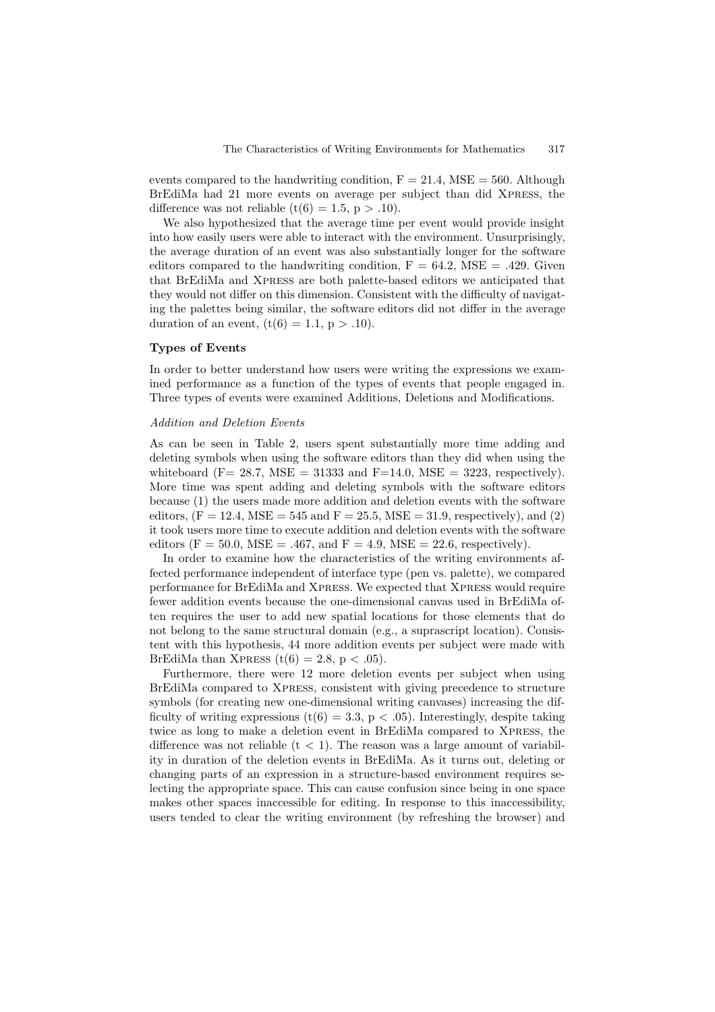events compared to the handwriting condition,  $F = 21.4$ , MSE = 560. Although BrEdiMa had 21 more events on average per subject than did Xpress, the difference was not reliable  $(t(6) = 1.5, p > .10)$ .

We also hypothesized that the average time per event would provide insight into how easily users were able to interact with the environment. Unsurprisingly, the average duration of an event was also substantially longer for the software editors compared to the handwriting condition,  $F = 64.2$ , MSE = .429. Given that BrEdiMa and Xpress are both palette-based editors we anticipated that they would not differ on this dimension. Consistent with the difficulty of navigating the palettes being similar, the software editors did not differ in the average duration of an event,  $(t(6) = 1.1, p > .10)$ .

## **Types of Events**

In order to better understand how users were writing the expressions we examined performance as a function of the types of events that people engaged in. Three types of events were examined Additions, Deletions and Modifications.

#### *Addition and Deletion Events*

As can be seen in Table 2, users spent substantially more time adding and deleting symbols when using the software editors than they did when using the whiteboard (F= 28.7, MSE = 31333 and F=14.0, MSE = 3223, respectively). More time was spent adding and deleting symbols with the software editors because (1) the users made more addition and deletion events with the software editors,  $(F = 12.4, MSE = 545$  and  $F = 25.5, MSE = 31.9$ , respectively), and (2) it took users more time to execute addition and deletion events with the software editors (F = 50.0, MSE = .467, and F = 4.9, MSE = 22.6, respectively).

In order to examine how the characteristics of the writing environments affected performance independent of interface type (pen vs. palette), we compared performance for BrEdiMa and Xpress. We expected that Xpress would require fewer addition events because the one-dimensional canvas used in BrEdiMa often requires the user to add new spatial locations for those elements that do not belong to the same structural domain (e.g., a suprascript location). Consistent with this hypothesis, 44 more addition events per subject were made with BrEdiMa than XPRESS  $(t(6) = 2.8, p < .05)$ .

Furthermore, there were 12 more deletion events per subject when using BrEdiMa compared to Xpress, consistent with giving precedence to structure symbols (for creating new one-dimensional writing canvases) increasing the difficulty of writing expressions (t(6) = 3.3, p < .05). Interestingly, despite taking twice as long to make a deletion event in BrEdiMa compared to Xpress, the difference was not reliable  $(t < 1)$ . The reason was a large amount of variability in duration of the deletion events in BrEdiMa. As it turns out, deleting or changing parts of an expression in a structure-based environment requires selecting the appropriate space. This can cause confusion since being in one space makes other spaces inaccessible for editing. In response to this inaccessibility, users tended to clear the writing environment (by refreshing the browser) and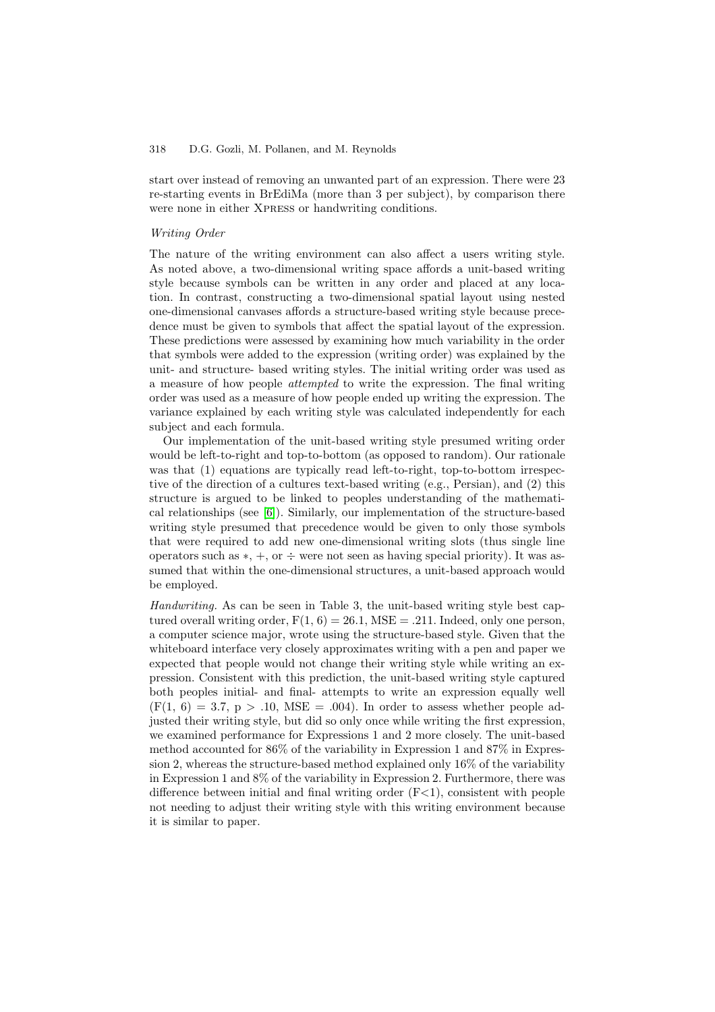start over instead of removing an unwanted part of an expression. There were 23 re-starting events in BrEdiMa (more than 3 per subject), by comparison there were none in either Xpress or handwriting conditions.

## *Writing Order*

The nature of the writing environment can also affect a users writing style. As noted above, a two-dimensional writing space affords a unit-based writing style because symbols can be written in any order and placed at any location. In contrast, constructing a two-dimensional spatial layout using nested one-dimensional canvases affords a structure-based writing style because precedence must be given to symbols that affect the spatial layout of the expression. These predictions were assessed by examining how much variability in the order that symbols were added to the expression (writing order) was explained by the unit- and structure- based writing styles. The initial writing order was used as a measure of how people *attempted* to write the expression. The final writing order was used as a measure of how people ended up writing the expression. The variance explained by each writing style was calculated independently for each subject and each formula.

Our implementation of the unit-based writing style presumed writing order would be left-to-right and top-to-bottom (as opposed to random). Our rationale was that (1) equations are typically read left-to-right, top-to-bottom irrespective of the direction of a cultures text-based writing (e.g., Persian), and (2) this structure is argued to be linked to peoples understanding of the mathematical relationships (see [\[6\]](#page-14-1)). Similarly, our implementation of the structure-based writing style presumed that precedence would be given to only those symbols that were required to add new one-dimensional writing slots (thus single line operators such as  $*, +$ , or  $\div$  were not seen as having special priority). It was assumed that within the one-dimensional structures, a unit-based approach would be employed.

*Handwriting.* As can be seen in Table 3, the unit-based writing style best captured overall writing order,  $F(1, 6) = 26.1$ ,  $MSE = .211$ . Indeed, only one person, a computer science major, wrote using the structure-based style. Given that the whiteboard interface very closely approximates writing with a pen and paper we expected that people would not change their writing style while writing an expression. Consistent with this prediction, the unit-based writing style captured both peoples initial- and final- attempts to write an expression equally well  $(F(1, 6) = 3.7, p > .10, MSE = .004)$ . In order to assess whether people adjusted their writing style, but did so only once while writing the first expression, we examined performance for Expressions 1 and 2 more closely. The unit-based method accounted for 86% of the variability in Expression 1 and 87% in Expression 2, whereas the structure-based method explained only 16% of the variability in Expression 1 and 8% of the variability in Expression 2. Furthermore, there was difference between initial and final writing order  $(F<1)$ , consistent with people not needing to adjust their writing style with this writing environment because it is similar to paper.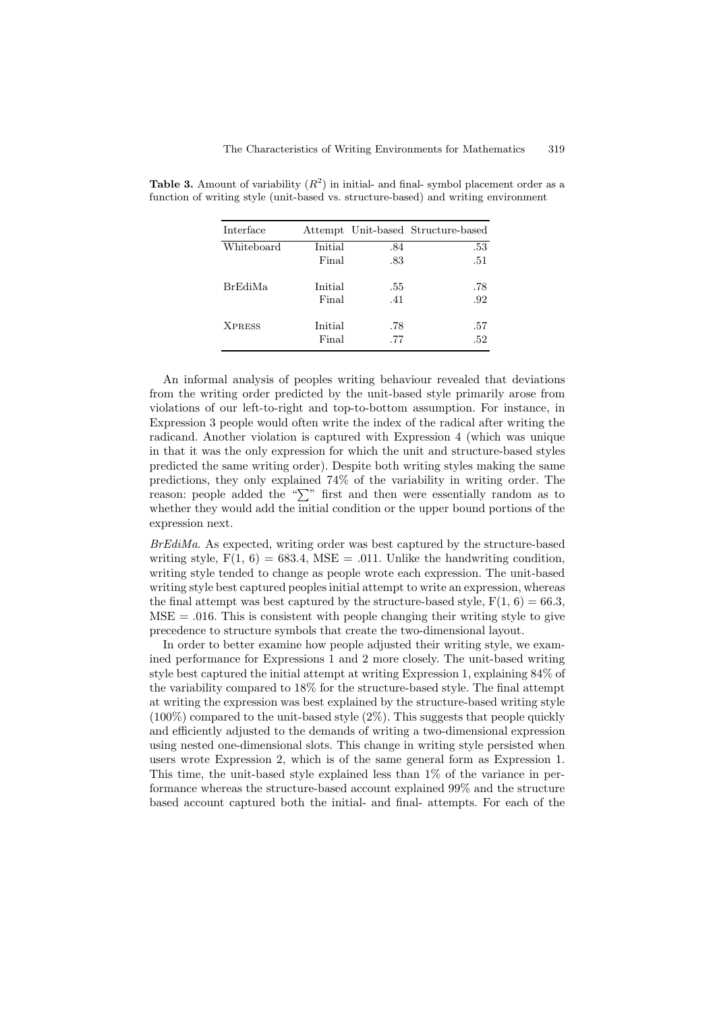| Interface      |                  |            | Attempt Unit-based Structure-based |
|----------------|------------------|------------|------------------------------------|
| Whiteboard     | Initial          | .84        | .53                                |
|                | Final            | .83        | .51                                |
| <b>BrEdiMa</b> | Initial          | .55        | .78                                |
|                | Final            | .41        | .92                                |
| <b>XPRESS</b>  | Initial<br>Final | .78<br>.77 | .57<br>.52                         |
|                |                  |            |                                    |

**Table 3.** Amount of variability  $(R^2)$  in initial- and final- symbol placement order as a function of writing style (unit-based vs. structure-based) and writing environment

An informal analysis of peoples writing behaviour revealed that deviations from the writing order predicted by the unit-based style primarily arose from violations of our left-to-right and top-to-bottom assumption. For instance, in Expression 3 people would often write the index of the radical after writing the radicand. Another violation is captured with Expression 4 (which was unique in that it was the only expression for which the unit and structure-based styles predicted the same writing order). Despite both writing styles making the same predictions, they only explained 74% of the variability in writing order. The reason: people added the " $\sum$ " first and then were essentially random as to whether they would add the initial condition or the upper bound portions of the expression next.

*BrEdiMa.* As expected, writing order was best captured by the structure-based writing style,  $F(1, 6) = 683.4$ , MSE = .011. Unlike the handwriting condition, writing style tended to change as people wrote each expression. The unit-based writing style best captured peoples initial attempt to write an expression, whereas the final attempt was best captured by the structure-based style,  $F(1, 6) = 66.3$ ,  $MSE = .016$ . This is consistent with people changing their writing style to give precedence to structure symbols that create the two-dimensional layout.

In order to better examine how people adjusted their writing style, we examined performance for Expressions 1 and 2 more closely. The unit-based writing style best captured the initial attempt at writing Expression 1, explaining 84% of the variability compared to 18% for the structure-based style. The final attempt at writing the expression was best explained by the structure-based writing style (100%) compared to the unit-based style (2%). This suggests that people quickly and efficiently adjusted to the demands of writing a two-dimensional expression using nested one-dimensional slots. This change in writing style persisted when users wrote Expression 2, which is of the same general form as Expression 1. This time, the unit-based style explained less than 1% of the variance in performance whereas the structure-based account explained 99% and the structure based account captured both the initial- and final- attempts. For each of the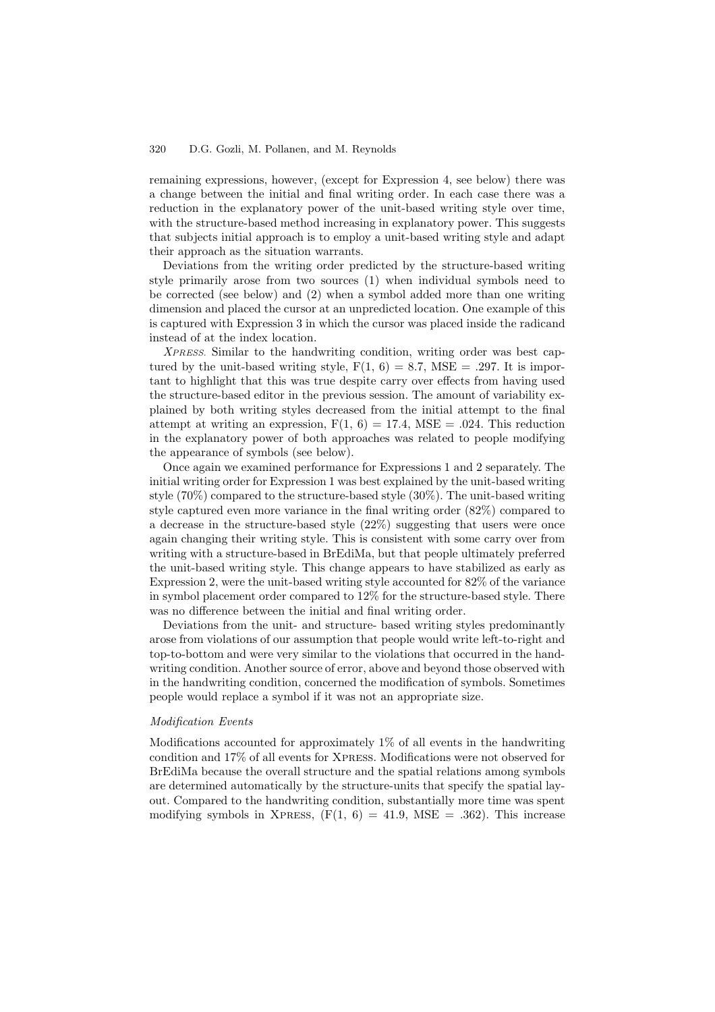remaining expressions, however, (except for Expression 4, see below) there was a change between the initial and final writing order. In each case there was a reduction in the explanatory power of the unit-based writing style over time, with the structure-based method increasing in explanatory power. This suggests that subjects initial approach is to employ a unit-based writing style and adapt their approach as the situation warrants.

Deviations from the writing order predicted by the structure-based writing style primarily arose from two sources (1) when individual symbols need to be corrected (see below) and (2) when a symbol added more than one writing dimension and placed the cursor at an unpredicted location. One example of this is captured with Expression 3 in which the cursor was placed inside the radicand instead of at the index location.

*XPRESS.* Similar to the handwriting condition, writing order was best captured by the unit-based writing style,  $F(1, 6) = 8.7$ , MSE = .297. It is important to highlight that this was true despite carry over effects from having used the structure-based editor in the previous session. The amount of variability explained by both writing styles decreased from the initial attempt to the final attempt at writing an expression,  $F(1, 6) = 17.4$ , MSE = .024. This reduction in the explanatory power of both approaches was related to people modifying the appearance of symbols (see below).

Once again we examined performance for Expressions 1 and 2 separately. The initial writing order for Expression 1 was best explained by the unit-based writing style (70%) compared to the structure-based style (30%). The unit-based writing style captured even more variance in the final writing order (82%) compared to a decrease in the structure-based style (22%) suggesting that users were once again changing their writing style. This is consistent with some carry over from writing with a structure-based in BrEdiMa, but that people ultimately preferred the unit-based writing style. This change appears to have stabilized as early as Expression 2, were the unit-based writing style accounted for 82% of the variance in symbol placement order compared to 12% for the structure-based style. There was no difference between the initial and final writing order.

Deviations from the unit- and structure- based writing styles predominantly arose from violations of our assumption that people would write left-to-right and top-to-bottom and were very similar to the violations that occurred in the handwriting condition. Another source of error, above and beyond those observed with in the handwriting condition, concerned the modification of symbols. Sometimes people would replace a symbol if it was not an appropriate size.

#### *Modification Events*

Modifications accounted for approximately 1% of all events in the handwriting condition and 17% of all events for Xpress. Modifications were not observed for BrEdiMa because the overall structure and the spatial relations among symbols are determined automatically by the structure-units that specify the spatial layout. Compared to the handwriting condition, substantially more time was spent modifying symbols in XPRESS,  $(F(1, 6) = 41.9, \text{MSE} = .362)$ . This increase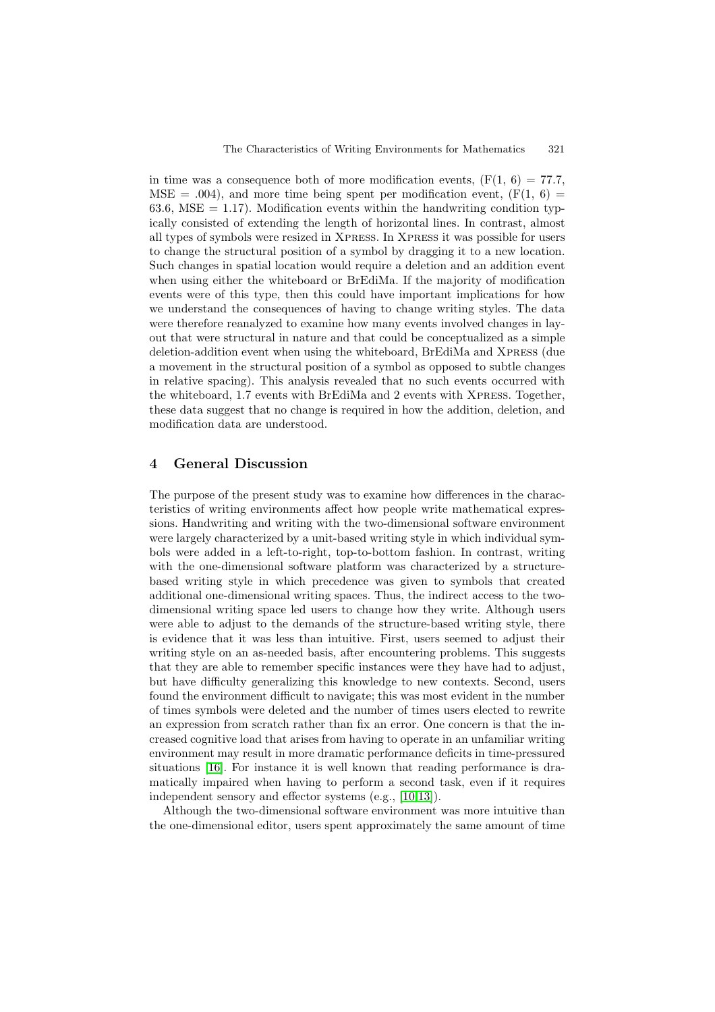in time was a consequence both of more modification events,  $(F(1, 6) = 77.7$ , MSE = .004), and more time being spent per modification event,  $(F(1, 6)$  = 63.6, MSE  $=$  1.17). Modification events within the handwriting condition typically consisted of extending the length of horizontal lines. In contrast, almost all types of symbols were resized in Xpress. In Xpress it was possible for users to change the structural position of a symbol by dragging it to a new location. Such changes in spatial location would require a deletion and an addition event when using either the whiteboard or BrEdiMa. If the majority of modification events were of this type, then this could have important implications for how we understand the consequences of having to change writing styles. The data were therefore reanalyzed to examine how many events involved changes in layout that were structural in nature and that could be conceptualized as a simple deletion-addition event when using the whiteboard, BrEdiMa and Xpress (due a movement in the structural position of a symbol as opposed to subtle changes in relative spacing). This analysis revealed that no such events occurred with the whiteboard, 1.7 events with BrEdiMa and 2 events with Xpress. Together, these data suggest that no change is required in how the addition, deletion, and modification data are understood.

# **4 General Discussion**

The purpose of the present study was to examine how differences in the characteristics of writing environments affect how people write mathematical expressions. Handwriting and writing with the two-dimensional software environment were largely characterized by a unit-based writing style in which individual symbols were added in a left-to-right, top-to-bottom fashion. In contrast, writing with the one-dimensional software platform was characterized by a structurebased writing style in which precedence was given to symbols that created additional one-dimensional writing spaces. Thus, the indirect access to the twodimensional writing space led users to change how they write. Although users were able to adjust to the demands of the structure-based writing style, there is evidence that it was less than intuitive. First, users seemed to adjust their writing style on an as-needed basis, after encountering problems. This suggests that they are able to remember specific instances were they have had to adjust, but have difficulty generalizing this knowledge to new contexts. Second, users found the environment difficult to navigate; this was most evident in the number of times symbols were deleted and the number of times users elected to rewrite an expression from scratch rather than fix an error. One concern is that the increased cognitive load that arises from having to operate in an unfamiliar writing environment may result in more dramatic performance deficits in time-pressured situations [\[16\]](#page-14-7). For instance it is well known that reading performance is dramatically impaired when having to perform a second task, even if it requires independent sensory and effector systems (e.g., [\[10](#page-14-8)[,13\]](#page-14-9)).

Although the two-dimensional software environment was more intuitive than the one-dimensional editor, users spent approximately the same amount of time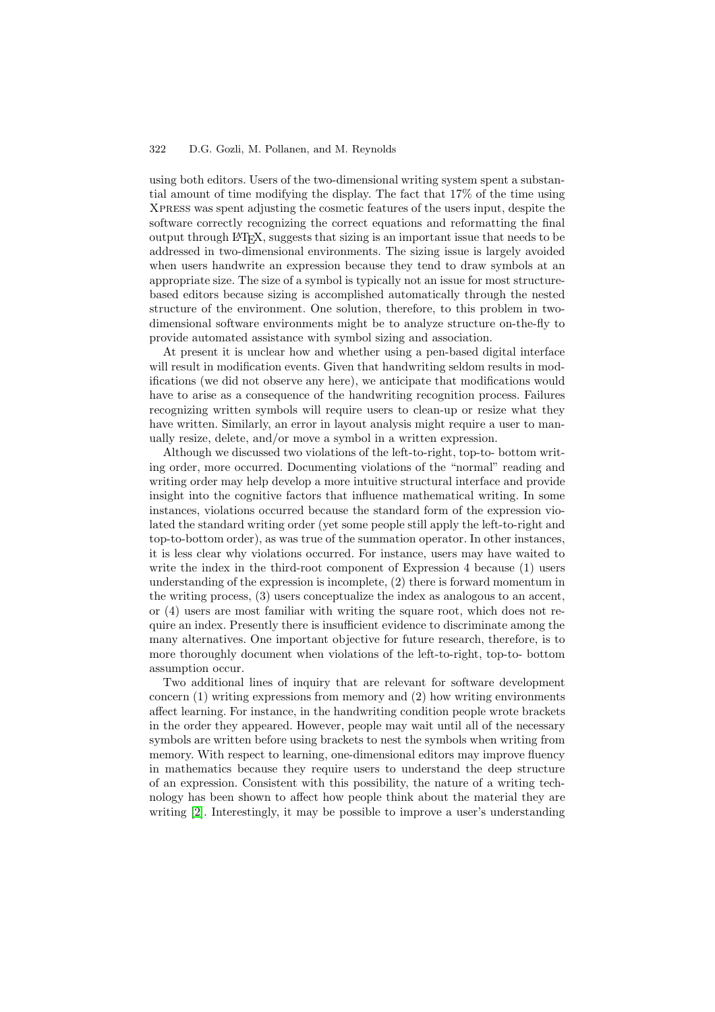using both editors. Users of the two-dimensional writing system spent a substantial amount of time modifying the display. The fact that 17% of the time using Xpress was spent adjusting the cosmetic features of the users input, despite the software correctly recognizing the correct equations and reformatting the final output through LATEX, suggests that sizing is an important issue that needs to be addressed in two-dimensional environments. The sizing issue is largely avoided when users handwrite an expression because they tend to draw symbols at an appropriate size. The size of a symbol is typically not an issue for most structurebased editors because sizing is accomplished automatically through the nested structure of the environment. One solution, therefore, to this problem in twodimensional software environments might be to analyze structure on-the-fly to provide automated assistance with symbol sizing and association.

At present it is unclear how and whether using a pen-based digital interface will result in modification events. Given that handwriting seldom results in modifications (we did not observe any here), we anticipate that modifications would have to arise as a consequence of the handwriting recognition process. Failures recognizing written symbols will require users to clean-up or resize what they have written. Similarly, an error in layout analysis might require a user to manually resize, delete, and/or move a symbol in a written expression.

Although we discussed two violations of the left-to-right, top-to- bottom writing order, more occurred. Documenting violations of the "normal" reading and writing order may help develop a more intuitive structural interface and provide insight into the cognitive factors that influence mathematical writing. In some instances, violations occurred because the standard form of the expression violated the standard writing order (yet some people still apply the left-to-right and top-to-bottom order), as was true of the summation operator. In other instances, it is less clear why violations occurred. For instance, users may have waited to write the index in the third-root component of Expression 4 because (1) users understanding of the expression is incomplete, (2) there is forward momentum in the writing process, (3) users conceptualize the index as analogous to an accent, or (4) users are most familiar with writing the square root, which does not require an index. Presently there is insufficient evidence to discriminate among the many alternatives. One important objective for future research, therefore, is to more thoroughly document when violations of the left-to-right, top-to- bottom assumption occur.

Two additional lines of inquiry that are relevant for software development concern (1) writing expressions from memory and (2) how writing environments affect learning. For instance, in the handwriting condition people wrote brackets in the order they appeared. However, people may wait until all of the necessary symbols are written before using brackets to nest the symbols when writing from memory. With respect to learning, one-dimensional editors may improve fluency in mathematics because they require users to understand the deep structure of an expression. Consistent with this possibility, the nature of a writing technology has been shown to affect how people think about the material they are writing [\[2\]](#page-13-3). Interestingly, it may be possible to improve a user's understanding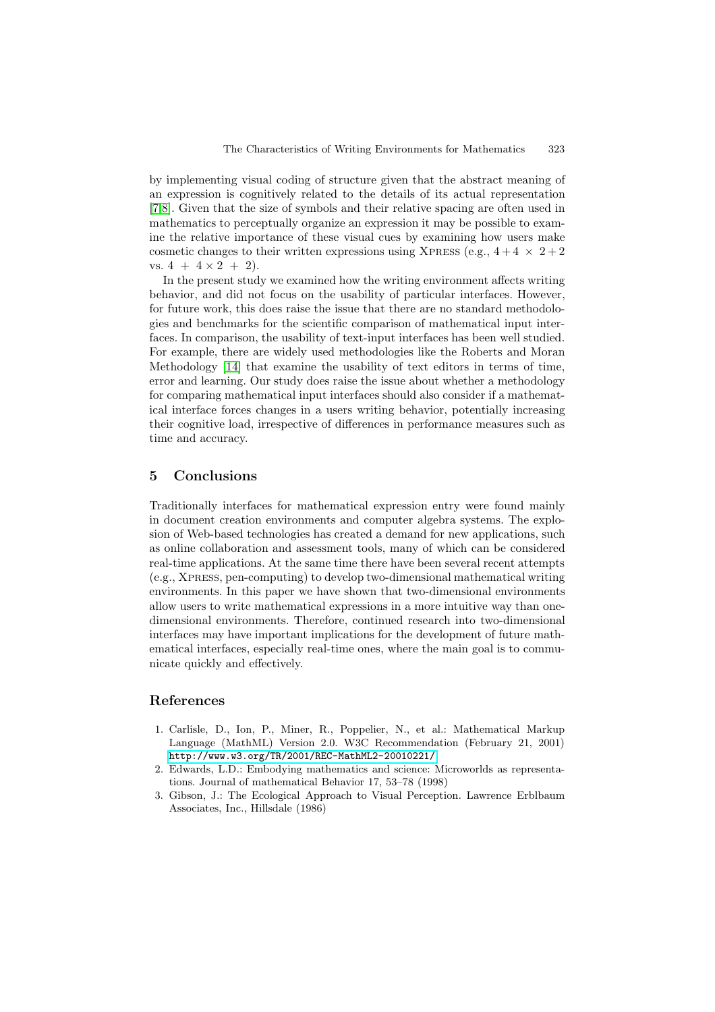by implementing visual coding of structure given that the abstract meaning of an expression is cognitively related to the details of its actual representation [\[7,](#page-14-10)[8\]](#page-14-11). Given that the size of symbols and their relative spacing are often used in mathematics to perceptually organize an expression it may be possible to examine the relative importance of these visual cues by examining how users make cosmetic changes to their written expressions using XPRESS (e.g.,  $4+4 \times 2+2$ ) vs.  $4 + 4 \times 2 + 2$ .

In the present study we examined how the writing environment affects writing behavior, and did not focus on the usability of particular interfaces. However, for future work, this does raise the issue that there are no standard methodologies and benchmarks for the scientific comparison of mathematical input interfaces. In comparison, the usability of text-input interfaces has been well studied. For example, there are widely used methodologies like the Roberts and Moran Methodology [\[14\]](#page-14-12) that examine the usability of text editors in terms of time, error and learning. Our study does raise the issue about whether a methodology for comparing mathematical input interfaces should also consider if a mathematical interface forces changes in a users writing behavior, potentially increasing their cognitive load, irrespective of differences in performance measures such as time and accuracy.

# **5 Conclusions**

Traditionally interfaces for mathematical expression entry were found mainly in document creation environments and computer algebra systems. The explosion of Web-based technologies has created a demand for new applications, such as online collaboration and assessment tools, many of which can be considered real-time applications. At the same time there have been several recent attempts (e.g., Xpress, pen-computing) to develop two-dimensional mathematical writing environments. In this paper we have shown that two-dimensional environments allow users to write mathematical expressions in a more intuitive way than onedimensional environments. Therefore, continued research into two-dimensional interfaces may have important implications for the development of future mathematical interfaces, especially real-time ones, where the main goal is to communicate quickly and effectively.

# **References**

- <span id="page-13-1"></span><span id="page-13-0"></span>1. Carlisle, D., Ion, P., Miner, R., Poppelier, N., et al.: Mathematical Markup Language (MathML) Version 2.0. W3C Recommendation (February 21, 2001) <http://www.w3.org/TR/2001/REC-MathML2-20010221/>
- <span id="page-13-3"></span>2. Edwards, L.D.: Embodying mathematics and science: Microworlds as representations. Journal of mathematical Behavior 17, 53–78 (1998)
- <span id="page-13-2"></span>3. Gibson, J.: The Ecological Approach to Visual Perception. Lawrence Erblbaum Associates, Inc., Hillsdale (1986)